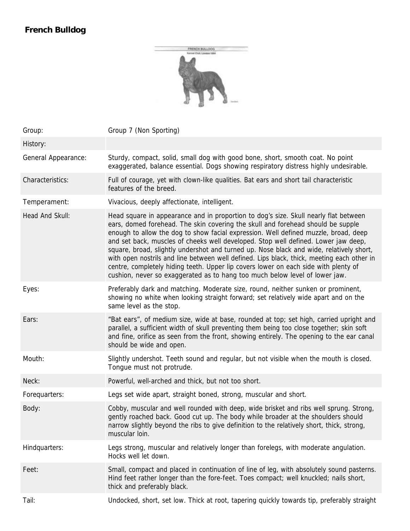

| Group:              | Group 7 (Non Sporting)                                                                                                                                                                                                                                                                                                                                                                                                                                                                                                                                                                                                                                                                                              |
|---------------------|---------------------------------------------------------------------------------------------------------------------------------------------------------------------------------------------------------------------------------------------------------------------------------------------------------------------------------------------------------------------------------------------------------------------------------------------------------------------------------------------------------------------------------------------------------------------------------------------------------------------------------------------------------------------------------------------------------------------|
| History:            |                                                                                                                                                                                                                                                                                                                                                                                                                                                                                                                                                                                                                                                                                                                     |
| General Appearance: | Sturdy, compact, solid, small dog with good bone, short, smooth coat. No point<br>exaggerated, balance essential. Dogs showing respiratory distress highly undesirable.                                                                                                                                                                                                                                                                                                                                                                                                                                                                                                                                             |
| Characteristics:    | Full of courage, yet with clown-like qualities. Bat ears and short tail characteristic<br>features of the breed.                                                                                                                                                                                                                                                                                                                                                                                                                                                                                                                                                                                                    |
| Temperament:        | Vivacious, deeply affectionate, intelligent.                                                                                                                                                                                                                                                                                                                                                                                                                                                                                                                                                                                                                                                                        |
| Head And Skull:     | Head square in appearance and in proportion to dog's size. Skull nearly flat between<br>ears, domed forehead. The skin covering the skull and forehead should be supple<br>enough to allow the dog to show facial expression. Well defined muzzle, broad, deep<br>and set back, muscles of cheeks well developed. Stop well defined. Lower jaw deep,<br>square, broad, slightly undershot and turned up. Nose black and wide, relatively short,<br>with open nostrils and line between well defined. Lips black, thick, meeting each other in<br>centre, completely hiding teeth. Upper lip covers lower on each side with plenty of<br>cushion, never so exaggerated as to hang too much below level of lower jaw. |
| Eyes:               | Preferably dark and matching. Moderate size, round, neither sunken or prominent,<br>showing no white when looking straight forward; set relatively wide apart and on the<br>same level as the stop.                                                                                                                                                                                                                                                                                                                                                                                                                                                                                                                 |
| Ears:               | "Bat ears", of medium size, wide at base, rounded at top; set high, carried upright and<br>parallel, a sufficient width of skull preventing them being too close together; skin soft<br>and fine, orifice as seen from the front, showing entirely. The opening to the ear canal<br>should be wide and open.                                                                                                                                                                                                                                                                                                                                                                                                        |
| Mouth:              | Slightly undershot. Teeth sound and regular, but not visible when the mouth is closed.<br>Tongue must not protrude.                                                                                                                                                                                                                                                                                                                                                                                                                                                                                                                                                                                                 |
| Neck:               | Powerful, well-arched and thick, but not too short.                                                                                                                                                                                                                                                                                                                                                                                                                                                                                                                                                                                                                                                                 |
| Forequarters:       | Legs set wide apart, straight boned, strong, muscular and short.                                                                                                                                                                                                                                                                                                                                                                                                                                                                                                                                                                                                                                                    |
| Body:               | Cobby, muscular and well rounded with deep, wide brisket and ribs well sprung. Strong,<br>gently roached back. Good cut up. The body while broader at the shoulders should<br>narrow slightly beyond the ribs to give definition to the relatively short, thick, strong,<br>muscular loin.                                                                                                                                                                                                                                                                                                                                                                                                                          |
| Hindquarters:       | Legs strong, muscular and relatively longer than forelegs, with moderate angulation.<br>Hocks well let down.                                                                                                                                                                                                                                                                                                                                                                                                                                                                                                                                                                                                        |
| Feet:               | Small, compact and placed in continuation of line of leg, with absolutely sound pasterns.<br>Hind feet rather longer than the fore-feet. Toes compact; well knuckled; nails short,<br>thick and preferably black.                                                                                                                                                                                                                                                                                                                                                                                                                                                                                                   |
| Tail:               | Undocked, short, set low. Thick at root, tapering quickly towards tip, preferably straight                                                                                                                                                                                                                                                                                                                                                                                                                                                                                                                                                                                                                          |